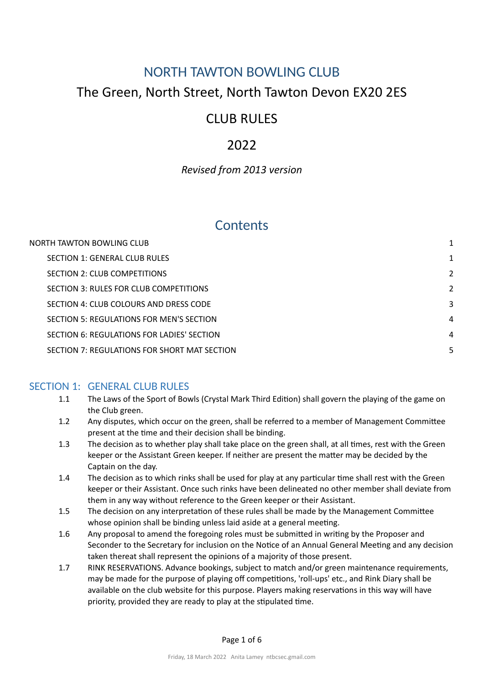## <span id="page-0-0"></span>NORTH TAWTON BOWLING CLUB

## The Green, North Street, North Tawton Devon EX20 2ES

# CLUB RULES

# 2022

## *Revised from 2013 version*

## **Contents**

| NORTH TAWTON BOWLING CLUB                    |               |
|----------------------------------------------|---------------|
| SECTION 1: GENERAL CLUB RULES                | 1             |
| SECTION 2: CLUB COMPETITIONS                 | $\mathcal{P}$ |
| SECTION 3: RULES FOR CLUB COMPETITIONS       | $\mathcal{P}$ |
| SECTION 4: CLUB COLOURS AND DRESS CODE       | 3             |
| SECTION 5: REGULATIONS FOR MEN'S SECTION     | 4             |
| SECTION 6: REGULATIONS FOR LADIES' SECTION   | 4             |
| SECTION 7: REGULATIONS FOR SHORT MAT SECTION | 5             |

## <span id="page-0-1"></span>SECTION 1: GENERAL CLUB RULES

- 1.1 The Laws of the Sport of Bowls (Crystal Mark Third Edition) shall govern the playing of the game on the Club green.
- 1.2 Any disputes, which occur on the green, shall be referred to a member of Management Committee present at the time and their decision shall be binding.
- 1.3 The decision as to whether play shall take place on the green shall, at all times, rest with the Green keeper or the Assistant Green keeper. If neither are present the matter may be decided by the Captain on the day.
- 1.4 The decision as to which rinks shall be used for play at any particular time shall rest with the Green keeper or their Assistant. Once such rinks have been delineated no other member shall deviate from them in any way without reference to the Green keeper or their Assistant.
- 1.5 The decision on any interpretation of these rules shall be made by the Management Committee whose opinion shall be binding unless laid aside at a general meeting.
- 1.6 Any proposal to amend the foregoing roles must be submitted in writing by the Proposer and Seconder to the Secretary for inclusion on the Notice of an Annual General Meeting and any decision taken thereat shall represent the opinions of a majority of those present.
- 1.7 RINK RESERVATIONS. Advance bookings, subject to match and/or green maintenance requirements, may be made for the purpose of playing off competitions, 'roll-ups' etc., and Rink Diary shall be available on the club website for this purpose. Players making reservations in this way will have priority, provided they are ready to play at the stipulated time.

Page 1 of 6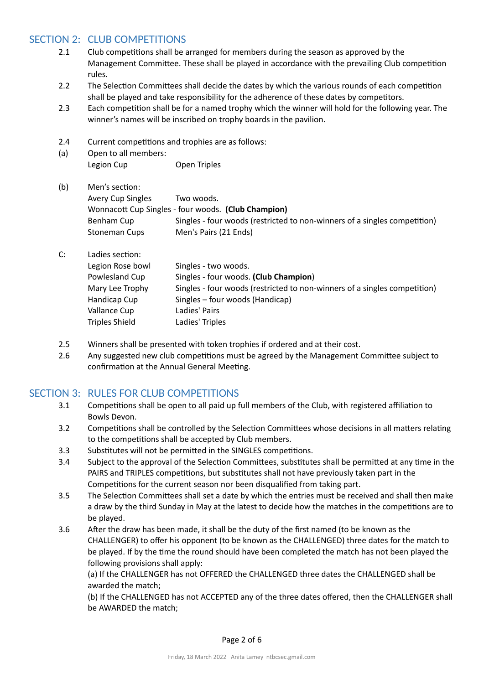## <span id="page-1-0"></span>SECTION 2: CLUB COMPETITIONS

- 2.1 Club competitions shall be arranged for members during the season as approved by the Management Committee. These shall be played in accordance with the prevailing Club competition rules.
- 2.2 The Selection Committees shall decide the dates by which the various rounds of each competition shall be played and take responsibility for the adherence of these dates by competitors.
- 2.3 Each competition shall be for a named trophy which the winner will hold for the following year. The winner's names will be inscribed on trophy boards in the pavilion.
- 2.4 Current competitions and trophies are as follows:
- (a) Open to all members: Legion Cup **Open Triples**

| (b) | Men's section:    |                                                                           |
|-----|-------------------|---------------------------------------------------------------------------|
|     | Avery Cup Singles | Two woods.                                                                |
|     |                   | Wonnacott Cup Singles - four woods. (Club Champion)                       |
|     | Benham Cup        | Singles - four woods (restricted to non-winners of a singles competition) |
|     | Stoneman Cups     | Men's Pairs (21 Ends)                                                     |

- C: Ladies section: Legion Rose bowl Singles - two woods. Powlesland Cup Singles - four woods. **(Club Champion)** Mary Lee Trophy Singles - four woods (restricted to non-winners of a singles competition) Handicap Cup Singles – four woods (Handicap) Vallance Cup
Ladies' Pairs Triples Shield Ladies' Triples
- 2.5 Winners shall be presented with token trophies if ordered and at their cost.
- 2.6 Any suggested new club competitions must be agreed by the Management Committee subject to confirmation at the Annual General Meeting.

## <span id="page-1-1"></span>SECTION 3: RULES FOR CLUB COMPETITIONS

- 3.1 Competitions shall be open to all paid up full members of the Club, with registered affiliation to Bowls Devon.
- 3.2 Competitions shall be controlled by the Selection Committees whose decisions in all matters relating to the competitions shall be accepted by Club members.
- 3.3 Substitutes will not be permitted in the SINGLES competitions.
- 3.4 Subject to the approval of the Selection Committees, substitutes shall be permitted at any time in the PAIRS and TRIPLES competitions, but substitutes shall not have previously taken part in the Competitions for the current season nor been disqualified from taking part.
- 3.5 The Selection Committees shall set a date by which the entries must be received and shall then make a draw by the third Sunday in May at the latest to decide how the matches in the competitions are to be played.
- 3.6 After the draw has been made, it shall be the duty of the first named (to be known as the CHALLENGER) to offer his opponent (to be known as the CHALLENGED) three dates for the match to be played. If by the time the round should have been completed the match has not been played the following provisions shall apply:

(a) If the CHALLENGER has not OFFERED the CHALLENGED three dates the CHALLENGED shall be awarded the match;

(b) If the CHALLENGED has not ACCEPTED any of the three dates offered, then the CHALLENGER shall be AWARDED the match;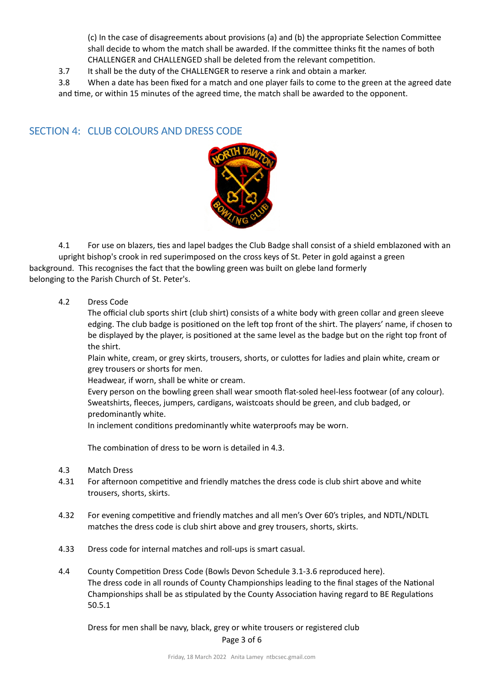(c) In the case of disagreements about provisions (a) and (b) the appropriate Selection Committee shall decide to whom the match shall be awarded. If the committee thinks fit the names of both CHALLENGER and CHALLENGED shall be deleted from the relevant competition.

- 3.7 It shall be the duty of the CHALLENGER to reserve a rink and obtain a marker.
- 3.8 When a date has been fixed for a match and one player fails to come to the green at the agreed date and time, or within 15 minutes of the agreed time, the match shall be awarded to the opponent.

### <span id="page-2-0"></span>SECTION 4: CLUB COLOURS AND DRESS CODE



4.1 For use on blazers, ties and lapel badges the Club Badge shall consist of a shield emblazoned with an upright bishop's crook in red superimposed on the cross keys of St. Peter in gold against a green background. This recognises the fact that the bowling green was built on glebe land formerly belonging to the Parish Church of St. Peter's.

### 4.2 Dress Code

The official club sports shirt (club shirt) consists of a white body with green collar and green sleeve edging. The club badge is positioned on the left top front of the shirt. The players' name, if chosen to be displayed by the player, is positioned at the same level as the badge but on the right top front of the shirt.

Plain white, cream, or grey skirts, trousers, shorts, or culottes for ladies and plain white, cream or grey trousers or shorts for men.

Headwear, if worn, shall be white or cream.

Every person on the bowling green shall wear smooth flat-soled heel-less footwear (of any colour). Sweatshirts, fleeces, jumpers, cardigans, waistcoats should be green, and club badged, or predominantly white.

In inclement conditions predominantly white waterproofs may be worn.

The combination of dress to be worn is detailed in 4.3.

- 4.3 Match Dress
- 4.31 For afternoon competitive and friendly matches the dress code is club shirt above and white trousers, shorts, skirts.
- 4.32 For evening competitive and friendly matches and all men's Over 60's triples, and NDTL/NDLTL matches the dress code is club shirt above and grey trousers, shorts, skirts.
- 4.33 Dress code for internal matches and roll-ups is smart casual.
- 4.4 County Competition Dress Code (Bowls Devon Schedule 3.1-3.6 reproduced here). The dress code in all rounds of County Championships leading to the final stages of the National Championships shall be as stipulated by the County Association having regard to BE Regulations 50.5.1

Dress for men shall be navy, black, grey or white trousers or registered club Page 3 of 6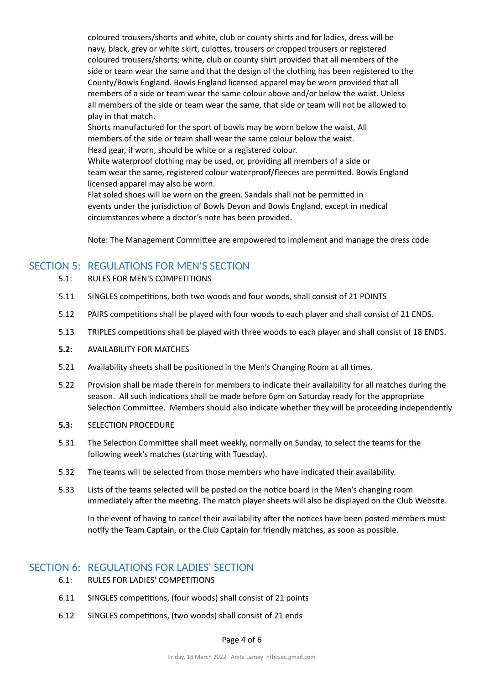coloured trousers/shorts and white, club or county shirts and for ladies, dress will be navy, black, grey or white skirt, culottes, trousers or cropped trousers or registered coloured trousers/shorts; white, club or county shirt provided that all members of the side or team wear the same and that the design of the clothing has been registered to the County/Bowls England. Bowls England licensed apparel may be worn provided that all members of a side or team wear the same colour above and/or below the waist. Unless all members of the side or team wear the same, that side or team will not be allowed to play in that match.

Shorts manufactured for the sport of bowls may be worn below the waist. All members of the side or team shall wear the same colour below the waist. Head gear, if worn, should be white or a registered colour.

White waterproof clothing may be used, or, providing all members of a side or team wear the same, registered colour waterproof/fleeces are permitted. Bowls England licensed apparel may also be worn.

Flat soled shoes will be worn on the green. Sandals shall not be permitted in events under the jurisdiction of Bowls Devon and Bowls England, except in medical circumstances where a doctor's note has been provided.

Note: The Management Committee are empowered to implement and manage the dress code

## <span id="page-3-0"></span>SECTION 5: REGULATIONS FOR MEN'S SECTION

- 5.1: RULES FOR MEN'S COMPETITIONS
- 5.11 SINGLES competitions, both two woods and four woods, shall consist of 21 POINTS
- 5.12 PAIRS competitions shall be played with four woods to each player and shall consist of 21 ENDS.
- 5.13 TRIPLES competitions shall be played with three woods to each player and shall consist of 18 ENDS.
- **5.2:** AVAILABILITY FOR MATCHES
- 5.21 Availability sheets shall be positioned in the Men's Changing Room at all times.
- 5.22 Provision shall be made therein for members to indicate their availability for all matches during the season. All such indications shall be made before 6pm on Saturday ready for the appropriate Selection Committee. Members should also indicate whether they will be proceeding independently
- **5.3:** SELECTION PROCEDURE
- 5.31 The Selection Committee shall meet weekly, normally on Sunday, to select the teams for the following week's matches (starting with Tuesday).
- 5.32 The teams will be selected from those members who have indicated their availability.
- 5.33 Lists of the teams selected will be posted on the notice board in the Men's changing room immediately after the meeting. The match player sheets will also be displayed on the Club Website.

In the event of having to cancel their availability after the notices have been posted members must notify the Team Captain, or the Club Captain for friendly matches, as soon as possible.

## <span id="page-3-1"></span>SECTION 6: REGULATIONS FOR LADIES' SECTION

- 6.1: RULES FOR LADIES' COMPETITIONS
- 6.11 SINGLES competitions, (four woods) shall consist of 21 points
- 6.12 SINGLES competitions, (two woods) shall consist of 21 ends

#### Page 4 of 6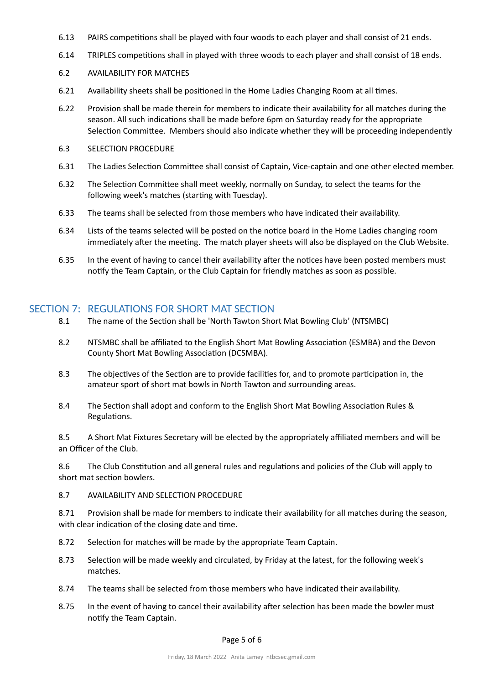- 6.13 PAIRS competitions shall be played with four woods to each player and shall consist of 21 ends.
- 6.14 TRIPLES competitions shall in played with three woods to each player and shall consist of 18 ends.
- 6.2 AVAILABILITY FOR MATCHES
- 6.21 Availability sheets shall be positioned in the Home Ladies Changing Room at all times.
- 6.22 Provision shall be made therein for members to indicate their availability for all matches during the season. All such indications shall be made before 6pm on Saturday ready for the appropriate Selection Committee. Members should also indicate whether they will be proceeding independently
- 6.3 SELECTION PROCEDURE
- 6.31 The Ladies Selection Committee shall consist of Captain, Vice-captain and one other elected member.
- 6.32 The Selection Committee shall meet weekly, normally on Sunday, to select the teams for the following week's matches (starting with Tuesday).
- 6.33 The teams shall be selected from those members who have indicated their availability.
- 6.34 Lists of the teams selected will be posted on the notice board in the Home Ladies changing room immediately after the meeting. The match player sheets will also be displayed on the Club Website.
- 6.35 In the event of having to cancel their availability after the notices have been posted members must notify the Team Captain, or the Club Captain for friendly matches as soon as possible.

## <span id="page-4-0"></span>SECTION 7: REGULATIONS FOR SHORT MAT SECTION

- 8.1 The name of the Section shall be 'North Tawton Short Mat Bowling Club' (NTSMBC)
- 8.2 NTSMBC shall be affiliated to the English Short Mat Bowling Association (ESMBA) and the Devon County Short Mat Bowling Association (DCSMBA).
- 8.3 The objectives of the Section are to provide facilities for, and to promote participation in, the amateur sport of short mat bowls in North Tawton and surrounding areas.
- 8.4 The Section shall adopt and conform to the English Short Mat Bowling Association Rules & Regulations.

8.5 A Short Mat Fixtures Secretary will be elected by the appropriately affiliated members and will be an Officer of the Club.

8.6 The Club Constitution and all general rules and regulations and policies of the Club will apply to short mat section bowlers.

8.7 AVAILABILITY AND SELECTION PROCEDURE

8.71 Provision shall be made for members to indicate their availability for all matches during the season, with clear indication of the closing date and time.

- 8.72 Selection for matches will be made by the appropriate Team Captain.
- 8.73 Selection will be made weekly and circulated, by Friday at the latest, for the following week's matches.
- 8.74 The teams shall be selected from those members who have indicated their availability.
- 8.75 In the event of having to cancel their availability after selection has been made the bowler must notify the Team Captain.

#### Page 5 of 6